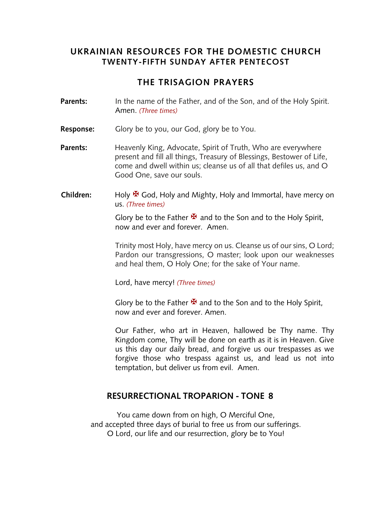#### **UKRAINIAN RESOURCES FOR THE DOMESTIC CHURCH TWENTY-FIFTH SUNDAY AFTER PENTECOST**

## **THE TRISAGION PRAYERS**

- **Parents:** In the name of the Father, and of the Son, and of the Holy Spirit. Amen. *(Three times)*
- **Response:** Glory be to you, our God, glory be to You.
- **Parents:** Heavenly King, Advocate, Spirit of Truth, Who are everywhere present and fill all things, Treasury of Blessings, Bestower of Life, come and dwell within us; cleanse us of all that defiles us, and O Good One, save our souls.
- **Children:** Holy **¥** God, Holy and Mighty, Holy and Immortal, have mercy on us. *(Three times)*

Glory be to the Father  $\mathbf{\mathbf{\mathbf{\mathsf{F}}} }$  and to the Son and to the Holy Spirit, now and ever and forever. Amen.

Trinity most Holy, have mercy on us. Cleanse us of our sins, O Lord; Pardon our transgressions, O master; look upon our weaknesses and heal them, O Holy One; for the sake of Your name.

Lord, have mercy! *(Three times)*

Glory be to the Father  $\mathbf{\mathbf{\mathbf{\mathsf{F}}} }$  and to the Son and to the Holy Spirit, now and ever and forever. Amen.

Our Father, who art in Heaven, hallowed be Thy name. Thy Kingdom come, Thy will be done on earth as it is in Heaven. Give us this day our daily bread, and forgive us our trespasses as we forgive those who trespass against us, and lead us not into temptation, but deliver us from evil. Amen.

## **RESURRECTIONAL TROPARION - TONE 8**

You came down from on high, O Merciful One, and accepted three days of burial to free us from our sufferings. O Lord, our life and our resurrection, glory be to You!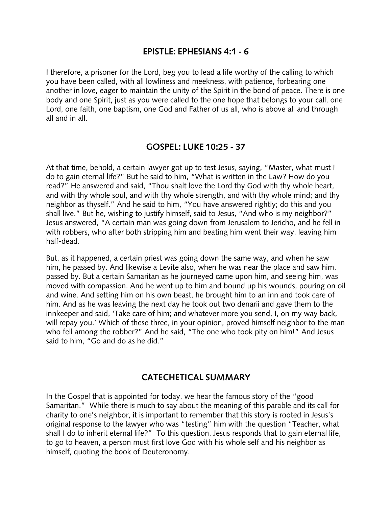## **EPISTLE: EPHESIANS 4:1 - 6**

I therefore, a prisoner for the Lord, beg you to lead a life worthy of the calling to which you have been called, with all lowliness and meekness, with patience, forbearing one another in love, eager to maintain the unity of the Spirit in the bond of peace. There is one body and one Spirit, just as you were called to the one hope that belongs to your call, one Lord, one faith, one baptism, one God and Father of us all, who is above all and through all and in all.

## **GOSPEL: LUKE 10:25 - 37**

At that time, behold, a certain lawyer got up to test Jesus, saying, "Master, what must I do to gain eternal life?" But he said to him, "What is written in the Law? How do you read?" He answered and said, "Thou shalt love the Lord thy God with thy whole heart, and with thy whole soul, and with thy whole strength, and with thy whole mind; and thy neighbor as thyself." And he said to him, "You have answered rightly; do this and you shall live." But he, wishing to justify himself, said to Jesus, "And who is my neighbor?" Jesus answered, "A certain man was going down from Jerusalem to Jericho, and he fell in with robbers, who after both stripping him and beating him went their way, leaving him half-dead.

But, as it happened, a certain priest was going down the same way, and when he saw him, he passed by. And likewise a Levite also, when he was near the place and saw him, passed by. But a certain Samaritan as he journeyed came upon him, and seeing him, was moved with compassion. And he went up to him and bound up his wounds, pouring on oil and wine. And setting him on his own beast, he brought him to an inn and took care of him. And as he was leaving the next day he took out two denarii and gave them to the innkeeper and said, 'Take care of him; and whatever more you send, I, on my way back, will repay you.' Which of these three, in your opinion, proved himself neighbor to the man who fell among the robber?" And he said, "The one who took pity on him!" And Jesus said to him, "Go and do as he did."

# **CATECHETICAL SUMMARY**

In the Gospel that is appointed for today, we hear the famous story of the "good Samaritan." While there is much to say about the meaning of this parable and its call for charity to one's neighbor, it is important to remember that this story is rooted in Jesus's original response to the lawyer who was "testing" him with the question "Teacher, what shall I do to inherit eternal life?" To this question, Jesus responds that to gain eternal life, to go to heaven, a person must first love God with his whole self and his neighbor as himself, quoting the book of Deuteronomy.